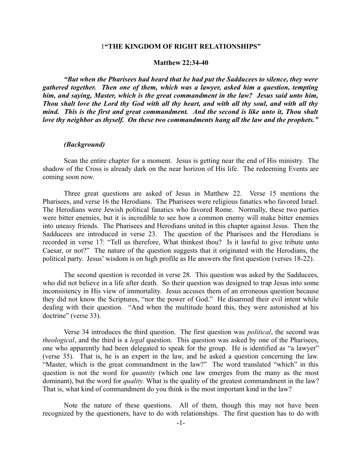# 1**"THE KINGDOM OF RIGHT RELATIONSHIPS"**

#### **Matthew 22:34-40**

*"But when the Pharisees had heard that he had put the Sadducees to silence, they were gathered together. Then one of them, which was a lawyer, asked him a question, tempting him, and saying, Master, which is the great commandment in the law? Jesus said unto him, Thou shalt love the Lord thy God with all thy heart, and with all thy soul, and with all thy mind. This is the first and great commandment. And the second is like unto it, Thou shalt love thy neighbor as thyself. On these two commandments hang all the law and the prophets."*

#### *(Background)*

Scan the entire chapter for a moment. Jesus is getting near the end of His ministry. The shadow of the Cross is already dark on the near horizon of His life. The redeeming Events are coming soon now.

Three great questions are asked of Jesus in Matthew 22. Verse 15 mentions the Pharisees, and verse 16 the Herodians. The Pharisees were religious fanatics who favored Israel. The Herodians were Jewish political fanatics who favored Rome. Normally, these two parties were bitter enemies, but it is incredible to see how a common enemy will make bitter enemies into uneasy friends. The Pharisees and Herodians united in this chapter against Jesus. Then the Sadducees are introduced in verse 23. The question of the Pharisees and the Herodians is recorded in verse 17: "Tell us therefore, What thinkest thou? Is it lawful to give tribute unto Caesar, or not?" The nature of the question suggests that it originated with the Herodians, the political party. Jesus' wisdom is on high profile as He answers the first question (verses 18-22).

The second question is recorded in verse 28. This question was asked by the Sadducees, who did not believe in a life after death. So their question was designed to trap Jesus into some inconsistency in His view of immortality. Jesus accuses them of an erroneous question because they did not know the Scriptures, "nor the power of God." He disarmed their evil intent while dealing with their question. "And when the multitude heard this, they were astonished at his doctrine" (verse 33).

Verse 34 introduces the third question. The first question was *political*, the second was *theological*, and the third is a *legal* question. This question was asked by one of the Pharisees, one who apparently had been delegated to speak for the group. He is identified as "a lawyer" (verse 35). That is, he is an expert in the law, and he asked a question concerning the law. "Master, which is the great commandment in the law?" The word translated "which" in this question is not the word for *quantity* (which one law emerges from the many as the most dominant), but the word for *quality.* What is the quality of the greatest commandment in the law? That is, what kind of commandment do you think is the most important kind in the law?

Note the nature of these questions. All of them, though this may not have been recognized by the questioners, have to do with relationships. The first question has to do with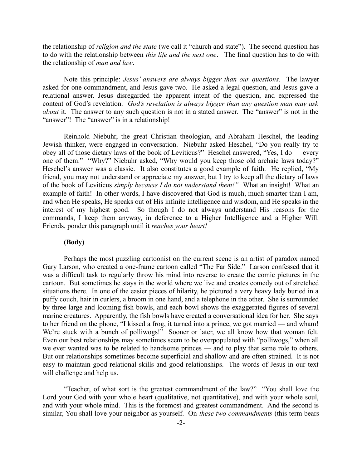the relationship of *religion and the state* (we call it "church and state"). The second question has to do with the relationship between *this life and the next one*. The final question has to do with the relationship of *man and law*.

Note this principle: *Jesus' answers are always bigger than our questions.* The lawyer asked for one commandment, and Jesus gave two. He asked a legal question, and Jesus gave a relational answer. Jesus disregarded the apparent intent of the question, and expressed the content of God's revelation. *God's revelation is always bigger than any question man may ask about* it. The answer to any such question is not in a stated answer. The "answer" is not in the "answer"! The "answer" is in a relationship!

Reinhold Niebuhr, the great Christian theologian, and Abraham Heschel, the leading Jewish thinker, were engaged in conversation. Niebuhr asked Heschel, "Do you really try to obey all of those dietary laws of the book of Leviticus?" Heschel answered, "Yes, I do — every one of them." "Why?" Niebuhr asked, "Why would you keep those old archaic laws today?" Heschel's answer was a classic. It also constitutes a good example of faith. He replied, "My friend, you may not understand or appreciate my answer, but I try to keep all the dietary of laws of the book of Leviticus *simply because I do not understand them!"* What an insight! What an example of faith! In other words, I have discovered that God is much, much smarter than I am, and when He speaks, He speaks out of His infinite intelligence and wisdom, and He speaks in the interest of my highest good. So though I do not always understand His reasons for the commands, I keep them anyway, in deference to a Higher Intelligence and a Higher Will. Friends, ponder this paragraph until it *reaches your heart!*

# **(Body)**

Perhaps the most puzzling cartoonist on the current scene is an artist of paradox named Gary Larson, who created a one-frame cartoon called "The Far Side." Larson confessed that it was a difficult task to regularly throw his mind into reverse to create the comic pictures in the cartoon. But sometimes he stays in the world where we live and creates comedy out of stretched situations there. In one of the easier pieces of hilarity, he pictured a very heavy lady buried in a puffy couch, hair in curlers, a broom in one hand, and a telephone in the other. She is surrounded by three large and looming fish bowls, and each bowl shows the exaggerated figures of several marine creatures. Apparently, the fish bowls have created a conversational idea for her. She says to her friend on the phone, "I kissed a frog, it turned into a prince, we got married — and wham! We're stuck with a bunch of polliwogs!" Sooner or later, we all know how that woman felt. Even our best relationships may sometimes seem to be overpopulated with "polliwogs," when all we ever wanted was to be related to handsome princes — and to play that same role to others. But our relationships sometimes become superficial and shallow and are often strained. It is not easy to maintain good relational skills and good relationships. The words of Jesus in our text will challenge and help us.

"Teacher, of what sort is the greatest commandment of the law?" "You shall love the Lord your God with your whole heart (qualitative, not quantitative), and with your whole soul, and with your whole mind. This is the foremost and greatest commandment. And the second is similar, You shall love your neighbor as yourself. On *these two commandments* (this term bears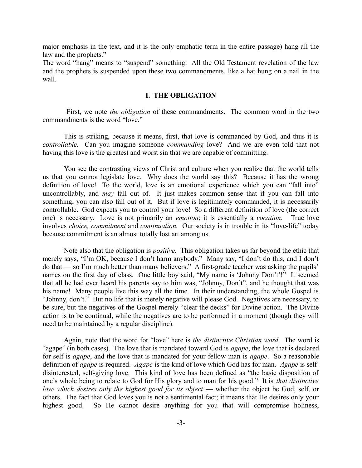major emphasis in the text, and it is the only emphatic term in the entire passage) hang all the law and the prophets."

The word "hang" means to "suspend" something. All the Old Testament revelation of the law and the prophets is suspended upon these two commandments, like a hat hung on a nail in the wall.

# **I. THE OBLIGATION**

 First, we note *the obligation* of these commandments. The common word in the two commandments is the word "love."

This is striking, because it means, first, that love is commanded by God, and thus it is *controllable.* Can you imagine someone *commanding* love? And we are even told that not having this love is the greatest and worst sin that we are capable of committing.

You see the contrasting views of Christ and culture when you realize that the world tells us that you cannot legislate love. Why does the world say this? Because it has the wrong definition of love! To the world, love is an emotional experience which you can "fall into" uncontrollably, and *may* fall out of. It just makes common sense that if you can fall into something, you can also fall out of it. But if love is legitimately commanded, it is necessarily controllable. God expects you to control your love! So a different definition of love (the correct one) is necessary. Love is not primarily an *emotion*; it is essentially a *vocation*. True love involves *choice, commitment* and *continuation.* Our society is in trouble in its "love-life" today because commitment is an almost totally lost art among us.

Note also that the obligation is *positive.* This obligation takes us far beyond the ethic that merely says, "I'm OK, because I don't harm anybody." Many say, "I don't do this, and I don't do that — so I'm much better than many believers." A first-grade teacher was asking the pupils' names on the first day of class. One little boy said, "My name is 'Johnny Don't'!" It seemed that all he had ever heard his parents say to him was, "Johnny, Don't", and he thought that was his name! Many people live this way all the time. In their understanding, the whole Gospel is "Johnny, don't." But no life that is merely negative will please God. Negatives are necessary, to be sure, but the negatives of the Gospel merely "clear the decks" for Divine action. The Divine action is to be continual, while the negatives are to be performed in a moment (though they will need to be maintained by a regular discipline).

Again, note that the word for "love" here is *the distinctive Christian word*. The word is "agape" (in both cases). The love that is mandated toward God is *agape*, the love that is declared for self is *agape*, and the love that is mandated for your fellow man is *agape*. So a reasonable definition of *agape* is required. *Agape* is the kind of love which God has for man. *Agape* is selfdisinterested, self-giving love. This kind of love has been defined as "the basic disposition of one's whole being to relate to God for His glory and to man for his good." It is *that distinctive love which desires only the highest good for its object* — whether the object be God, self, or others. The fact that God loves you is not a sentimental fact; it means that He desires only your highest good. So He cannot desire anything for you that will compromise holiness,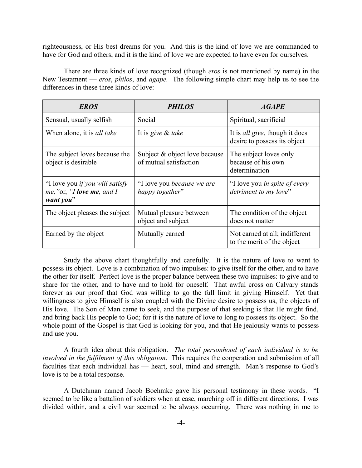righteousness, or His best dreams for you. And this is the kind of love we are commanded to have for God and others, and it is the kind of love we are expected to have even for ourselves.

There are three kinds of love recognized (though *eros* is not mentioned by name) in the New Testament — *eros*, *philos*, and *agape.* The following simple chart may help us to see the differences in these three kinds of love:

| <b>EROS</b>                                                                       | <i>PHILOS</i>                                           | <b>AGAPE</b>                                                           |
|-----------------------------------------------------------------------------------|---------------------------------------------------------|------------------------------------------------------------------------|
| Sensual, usually selfish                                                          | Social                                                  | Spiritual, sacrificial                                                 |
| When alone, it is <i>all take</i>                                                 | It is give & take                                       | It is <i>all give</i> , though it does<br>desire to possess its object |
| The subject loves because the<br>object is desirable                              | Subject & object love because<br>of mutual satisfaction | The subject loves only<br>because of his own<br>determination          |
| "I love you <i>if you will satisfy</i><br>me, "or, "I love me, and I<br>want you" | "I love you <i>because</i> we are<br>happy together"    | "I love you in spite of every"<br>detriment to my love"                |
| The object pleases the subject                                                    | Mutual pleasure between<br>object and subject           | The condition of the object<br>does not matter                         |
| Earned by the object                                                              | Mutually earned                                         | Not earned at all; indifferent<br>to the merit of the object           |

Study the above chart thoughtfully and carefully. It is the nature of love to want to possess its object. Love is a combination of two impulses: to give itself for the other, and to have the other for itself. Perfect love is the proper balance between these two impulses: to give and to share for the other, and to have and to hold for oneself. That awful cross on Calvary stands forever as our proof that God was willing to go the full limit in giving Himself. Yet that willingness to give Himself is also coupled with the Divine desire to possess us, the objects of His love. The Son of Man came to seek, and the purpose of that seeking is that He might find, and bring back His people to God; for it is the nature of love to long to possess its object. So the whole point of the Gospel is that God is looking for you, and that He jealously wants to possess and use you.

A fourth idea about this obligation. *The total personhood of each individual is to be involved in the fulfilment of this obligation*. This requires the cooperation and submission of all faculties that each individual has — heart, soul, mind and strength. Man's response to God's love is to be a total response.

A Dutchman named Jacob Boehmke gave his personal testimony in these words. "I seemed to be like a battalion of soldiers when at ease, marching off in different directions. I was divided within, and a civil war seemed to be always occurring. There was nothing in me to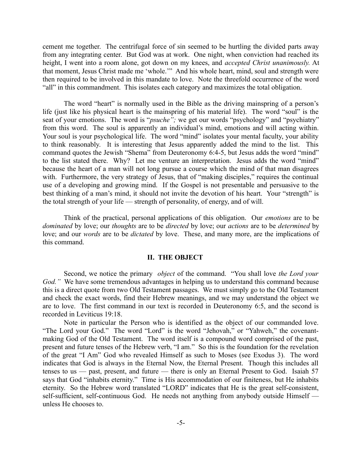cement me together. The centrifugal force of sin seemed to be hurtling the divided parts away from any integrating center. But God was at work. One night, when conviction had reached its height, I went into a room alone, got down on my knees, and *accepted Christ unanimously.* At that moment, Jesus Christ made me 'whole.'" And his whole heart, mind, soul and strength were then required to be involved in this mandate to love. Note the threefold occurrence of the word "all" in this commandment. This isolates each category and maximizes the total obligation.

The word "heart" is normally used in the Bible as the driving mainspring of a person's life (just like his physical heart is the mainspring of his material life). The word "soul" is the seat of your emotions. The word is "*psuche*"; we get our words "psychology" and "psychiatry" from this word. The soul is apparently an individual's mind, emotions and will acting within. Your soul is your psychological life. The word "mind" isolates your mental faculty, your ability to think reasonably. It is interesting that Jesus apparently added the mind to the list. This command quotes the Jewish "Shema" from Deuteronomy 6:4-5, but Jesus adds the word "mind" to the list stated there. Why? Let me venture an interpretation. Jesus adds the word "mind" because the heart of a man will not long pursue a course which the mind of that man disagrees with. Furthermore, the very strategy of Jesus, that of "making disciples," requires the continual use of a developing and growing mind. If the Gospel is not presentable and persuasive to the best thinking of a man's mind, it should not invite the devotion of his heart. Your "strength" is the total strength of your life — strength of personality, of energy, and of will.

Think of the practical, personal applications of this obligation. Our *emotions* are to be *dominated* by love; our *thoughts* are to be *directed* by love; our *actions* are to be *determined* by love; and our *words* are to be *dictated* by love. These, and many more, are the implications of this command.

### **II. THE OBJECT**

Second, we notice the primary *object* of the command. "You shall love *the Lord your God."* We have some tremendous advantages in helping us to understand this command because this is a direct quote from two Old Testament passages. We must simply go to the Old Testament and check the exact words, find their Hebrew meanings, and we may understand the object we are to love. The first command in our text is recorded in Deuteronomy 6:5, and the second is recorded in Leviticus 19:18.

Note in particular the Person who is identified as the object of our commanded love. "The Lord your God." The word "Lord" is the word "Jehovah," or "Yahweh," the covenantmaking God of the Old Testament. The word itself is a compound word comprised of the past, present and future tenses of the Hebrew verb, "I am." So this is the foundation for the revelation of the great "I Am" God who revealed Himself as such to Moses (see Exodus 3). The word indicates that God is always in the Eternal Now, the Eternal Present. Though this includes all tenses to us — past, present, and future — there is only an Eternal Present to God. Isaiah 57 says that God "inhabits eternity." Time is His accommodation of our finiteness, but He inhabits eternity. So the Hebrew word translated "LORD" indicates that He is the great self-consistent, self-sufficient, self-continuous God. He needs not anything from anybody outside Himself unless He chooses to.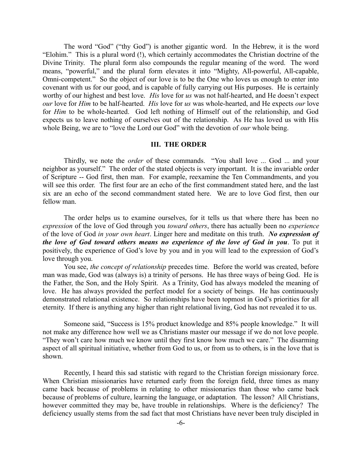The word "God" ("thy God") is another gigantic word. In the Hebrew, it is the word "Elohim." This is a plural word (!), which certainly accommodates the Christian doctrine of the Divine Trinity. The plural form also compounds the regular meaning of the word. The word means, "powerful," and the plural form elevates it into "Mighty, All-powerful, All-capable, Omni-competent." So the object of our love is to be the One who loves us enough to enter into covenant with us for our good, and is capable of fully carrying out His purposes. He is certainly worthy of our highest and best love. *His* love for *us* was not half-hearted, and He doesn't expect *our* love for *Him* to be half-hearted. *His* love for *us* was whole-hearted, and He expects *our* love for *Him* to be whole-hearted. God left nothing of Himself out of the relationship, and God expects us to leave nothing of ourselves out of the relationship. As He has loved us with His whole Being, we are to "love the Lord our God" with the devotion of *our* whole being.

#### **III. THE ORDER**

Thirdly, we note the *order* of these commands. "You shall love ... God ... and your neighbor as yourself." The order of the stated objects is very important. It is the invariable order of Scripture -- God first, then man. For example, reexamine the Ten Commandments, and you will see this order. The first four are an echo of the first commandment stated here, and the last six are an echo of the second commandment stated here. We are to love God first, then our fellow man.

The order helps us to examine ourselves, for it tells us that where there has been no *expression* of the love of God through you *toward others*, there has actually been no *experience* of the love of God *in your own heart*. Linger here and meditate on this truth. *No expression of the love of God toward others means no experience of the love of God in you*. To put it positively, the experience of God's love by you and in you will lead to the expression of God's love through you.

You see, *the concept of relationship* precedes time. Before the world was created, before man was made, God was (always is) a trinity of persons. He has three ways of being God. He is the Father, the Son, and the Holy Spirit. As a Trinity, God has always modeled the meaning of love. He has always provided the perfect model for a society of beings. He has continuously demonstrated relational existence. So relationships have been topmost in God's priorities for all eternity. If there is anything any higher than right relational living, God has not revealed it to us.

Someone said, "Success is 15% product knowledge and 85% people knowledge." It will not make any difference how well we as Christians master our message if we do not love people. "They won't care how much we know until they first know how much we care." The disarming aspect of all spiritual initiative, whether from God to us, or from us to others, is in the love that is shown.

Recently, I heard this sad statistic with regard to the Christian foreign missionary force. When Christian missionaries have returned early from the foreign field, three times as many came back because of problems in relating to other missionaries than those who came back because of problems of culture, learning the language, or adaptation. The lesson? All Christians, however committed they may be, have trouble in relationships. Where is the deficiency? The deficiency usually stems from the sad fact that most Christians have never been truly discipled in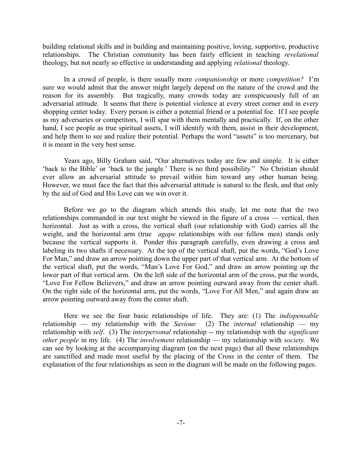building relational skills and in building and maintaining positive, loving, supportive, productive relationships. The Christian community has been fairly efficient in teaching *revelational* theology, but not nearly so effective in understanding and applying *relational* theology.

In a crowd of people, is there usually more *companionship* or more *competition?* I'm sure we would admit that the answer might largely depend on the nature of the crowd and the reason for its assembly. But tragically, many crowds today are conspicuously full of an adversarial attitude. It seems that there is potential violence at every street corner and in every shopping center today. Every person is either a potential friend or a potential foe. If I see people as my adversaries or competitors, I will spar with them mentally and practically. If, on the other hand, I see people as true spiritual assets, I will identify with them, assist in their development, and help them to see and realize their potential. Perhaps the word "assets" is too mercenary, but it is meant in the very best sense.

Years ago, Billy Graham said, "Our alternatives today are few and simple. It is either 'back to the Bible' or 'back to the jungle.' There is no third possibility." No Christian should ever allow an adversarial attitude to prevail within him toward any other human being. However, we must face the fact that this adversarial attitude is natural to the flesh, and that only by the aid of God and His Love can we win over it.

Before we go to the diagram which attends this study, let me note that the two relationships commanded in our text might be viewed in the figure of a cross — vertical, then horizontal. Just as with a cross, the vertical shaft (our relationship with God) carries all the weight, and the horizontal arm (true *agape* relationships with our fellow men) stands only because the vertical supports it. Ponder this paragraph carefully, even drawing a cross and labeling its two shafts if necessary. At the top of the vertical shaft, put the words, "God's Love For Man," and draw an arrow pointing down the upper part of that vertical arm. At the bottom of the vertical shaft, put the words, "Man's Love For God," and draw an arrow pointing up the lower part of that vertical arm. On the left side of the horizontal arm of the cross, put the words, "Love For Fellow Believers," and draw an arrow pointing outward away from the center shaft. On the right side of the horizontal arm, put the words, "Love For All Men," and again draw an arrow pointing outward away from the center shaft.

Here we see the four basic relationships of life. They are: (1) The *indispensable* relationship — my relationship with the *Saviour.* (2) The *internal* relationship — my relationship with *self*. (3) The *interpersonal* relationship -- my relationship with the *significant other people* in my life. (4) The *involvement* relationship — my relationship with *society.* We can see by looking at the accompanying diagram (on the next page) that all these relationships are sanctified and made most useful by the placing of the Cross in the center of them. The explanation of the four relationships as seen in the diagram will be made on the following pages.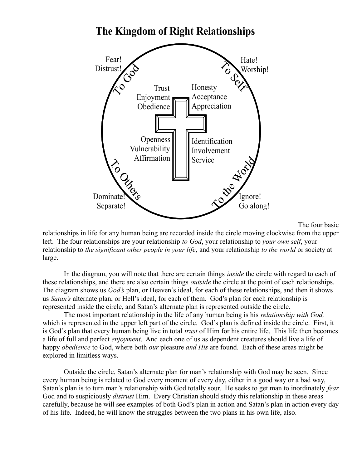

# **The Kingdom of Right Relationships**

The four basic

relationships in life for any human being are recorded inside the circle moving clockwise from the upper left. The four relationships are your relationship *to God*, your relationship to *your own self*, your relationship to *the significant other people in your life*, and your relationship *to the world* or society at large.

In the diagram, you will note that there are certain things *inside* the circle with regard to each of these relationships, and there are also certain things *outside* the circle at the point of each relationships. The diagram shows us *God's* plan, or Heaven's ideal, for each of these relationships, and then it shows us *Satan's* alternate plan, or Hell's ideal, for each of them. God's plan for each relationship is represented inside the circle, and Satan's alternate plan is represented outside the circle.

The most important relationship in the life of any human being is his *relationship with God,* which is represented in the upper left part of the circle. God's plan is defined inside the circle. First, it is God's plan that every human being live in total *trust* of Him for his entire life. This life then becomes a life of full and perfect *enjoyment*. And each one of us as dependent creatures should live a life of happy *obedience* to God, where both *our* pleasure *and His* are found. Each of these areas might be explored in limitless ways.

Outside the circle, Satan's alternate plan for man's relationship with God may be seen. Since every human being is related to God every moment of every day, either in a good way or a bad way, Satan's plan is to turn man's relationship with God totally sour. He seeks to get man to inordinately *fear* God and to suspiciously *distrust* Him. Every Christian should study this relationship in these areas carefully, because he will see examples of both God's plan in action and Satan's plan in action every day of his life. Indeed, he will know the struggles between the two plans in his own life, also.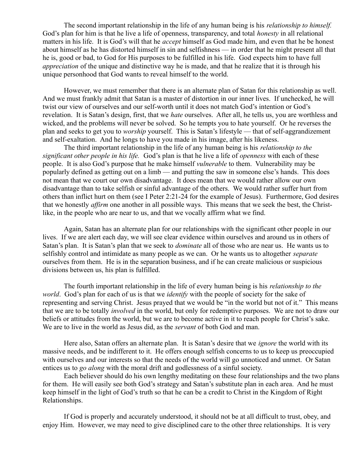The second important relationship in the life of any human being is his *relationship to himself.* God's plan for him is that he live a life of openness, transparency, and total *honesty* in all relational matters in his life. It is God's will that he *accept* himself as God made him, and even that he be honest about himself as he has distorted himself in sin and selfishness — in order that he might present all that he is, good or bad, to God for His purposes to be fulfilled in his life. God expects him to have full *appreciation* of the unique and distinctive way he is made, and that he realize that it is through his unique personhood that God wants to reveal himself to the world.

However, we must remember that there is an alternate plan of Satan for this relationship as well. And we must frankly admit that Satan is a master of distortion in our inner lives. If unchecked, he will twist our view of ourselves and our self-worth until it does not match God's intention or God's revelation. It is Satan's design, first, that we *hate* ourselves. After all, he tells us, you are worthless and wicked, and the problems will never be solved. So he tempts you to hate yourself. Or he reverses the plan and seeks to get you to *worship* yourself. This is Satan's lifestyle — that of self-aggrandizement and self-exaltation. And he longs to have you made in his image, after his likeness.

The third important relationship in the life of any human being is his *relationship to the significant other people in his life.* God's plan is that he live a life of *openness* with each of these people. It is also God's purpose that he make himself *vulnerable* to them. Vulnerability may be popularly defined as getting out on a limb — and putting the saw in someone else's hands. This does not mean that we court our own disadvantage. It does mean that we would rather allow our own disadvantage than to take selfish or sinful advantage of the others. We would rather suffer hurt from others than inflict hurt on them (see I Peter 2:21-24 for the example of Jesus). Furthermore, God desires that we honestly *affirm* one another in all possible ways. This means that we seek the best, the Christlike, in the people who are near to us, and that we vocally affirm what we find.

Again, Satan has an alternate plan for our relationships with the significant other people in our lives. If we are alert each day, we will see clear evidence within ourselves and around us in others of Satan's plan. It is Satan's plan that we seek to *dominate* all of those who are near us. He wants us to selfishly control and intimidate as many people as we can. Or he wants us to altogether *separate* ourselves from them. He is in the separation business, and if he can create malicious or suspicious divisions between us, his plan is fulfilled.

The fourth important relationship in the life of every human being is his *relationship to the world*. God's plan for each of us is that we *identify* with the people of society for the sake of representing and serving Christ. Jesus prayed that we would be "in the world but not of it." This means that we are to be totally *involved* in the world, but only for redemptive purposes. We are not to draw our beliefs or attitudes from the world, but we are to become active in it to reach people for Christ's sake. We are to live in the world as Jesus did, as the *servant* of both God and man.

Here also, Satan offers an alternate plan. It is Satan's desire that we *ignore* the world with its massive needs, and be indifferent to it. He offers enough selfish concerns to us to keep us preoccupied with ourselves and our interests so that the needs of the world will go unnoticed and unmet. Or Satan entices us to *go along* with the moral drift and godlessness of a sinful society.

Each believer should do his own lengthy meditating on these four relationships and the two plans for them. He will easily see both God's strategy and Satan's substitute plan in each area. And he must keep himself in the light of God's truth so that he can be a credit to Christ in the Kingdom of Right Relationships.

If God is properly and accurately understood, it should not be at all difficult to trust, obey, and enjoy Him. However, we may need to give disciplined care to the other three relationships. It is very